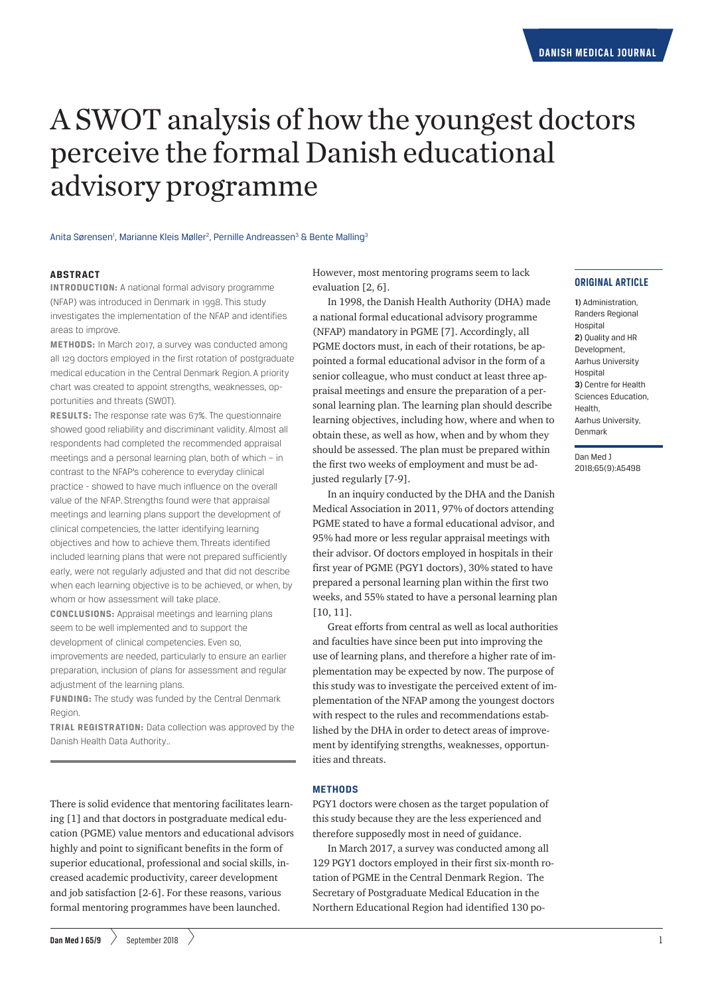# A SWOT analysis of how the youngest doctors perceive the formal Danish educational advisory programme

## Anita Sørensen<sup>i</sup>, Marianne Kleis Møller<sup>2</sup>, Pernille Andreassen<sup>3</sup> & Bente Malling<sup>3</sup>

# **ABSTRACT**

**INTRODUCTION:** A national formal advisory programme (NFAP) was introduced in Denmark in 1998. This study investigates the implementation of the NFAP and identifies areas to improve.

**METHODS:** In March 2017, a survey was conducted among all 129 doctors employed in the first rotation of postgraduate medical education in the Central Denmark Region. A priority chart was created to appoint strengths, weaknesses, opportunities and threats (SWOT).

**RESULTS:** The response rate was 67%. The questionnaire showed good reliability and discriminant validity. Almost all respondents had completed the recommended appraisal meetings and a personal learning plan, both of which – in contrast to the NFAP's coherence to everyday clinical practice - showed to have much influence on the overall value of the NFAP. Strengths found were that appraisal meetings and learning plans support the development of clinical competencies, the latter identifying learning objectives and how to achieve them. Threats identified included learning plans that were not prepared sufficiently early, were not regularly adjusted and that did not describe when each learning objective is to be achieved, or when, by whom or how assessment will take place.

**CONCLUSIONS:** Appraisal meetings and learning plans seem to be well implemented and to support the development of clinical competencies. Even so,

improvements are needed, particularly to ensure an earlier preparation, inclusion of plans for assessment and regular adjustment of the learning plans.

**FUNDING:** The study was funded by the Central Denmark Region.

**TRIAL REGISTRATION:** Data collection was approved by the Danish Health Data Authority..

There is solid evidence that mentoring facilitates learning [1] and that doctors in postgraduate medical education (PGME) value mentors and educational advisors highly and point to significant benefits in the form of superior educational, professional and social skills, increased academic productivity, career development and job satisfaction [2-6]. For these reasons, various formal mentoring programmes have been launched.

However, most mentoring programs seem to lack evaluation  $[2, 6]$ .

In 1998, the Danish Health Authority (DHA) made a national formal educational advisory programme (NFAP) mandatory in PGME [7]. Accordingly, all PGME doctors must, in each of their rotations, be appointed a formal educational advisor in the form of a senior colleague, who must conduct at least three appraisal meetings and ensure the preparation of a personal learning plan. The learning plan should describe learning objectives, including how, where and when to obtain these, as well as how, when and by whom they should be assessed. The plan must be prepared within the first two weeks of employment and must be adjusted regularly [7-9].

In an inquiry conducted by the DHA and the Danish Medical Association in 2011, 97% of doctors attending PGME stated to have a formal educational advisor, and 95% had more or less regular appraisal meetings with their advisor. Of doctors employed in hospitals in their first year of PGME (PGY1 doctors), 30% stated to have prepared a personal learning plan within the first two weeks, and 55% stated to have a personal learning plan [10, 11].

Great efforts from central as well as local authorities and faculties have since been put into improving the use of learning plans, and therefore a higher rate of implementation may be expected by now. The purpose of this study was to investigate the perceived extent of implementation of the NFAP among the youngest doctors with respect to the rules and recommendations established by the DHA in order to detect areas of improvement by identifying strengths, weaknesses, opportunities and threats.

## **METHODS**

PGY1 doctors were chosen as the target population of this study because they are the less experienced and therefore supposedly most in need of guidance.

In March 2017, a survey was conducted among all 129 PGY1 doctors employed in their first six-month rotation of PGME in the Central Denmark Region. The Secretary of Postgraduate Medical Education in the Northern Educational Region had identified 130 po**1)** Administration, Randers Regional Hospital **2)** Quality and HR Development, Aarhus University **Hospital 3)** Centre for Health Sciences Education, Health, Aarhus University, Denmark

Dan Med J 2018;65(9):A5498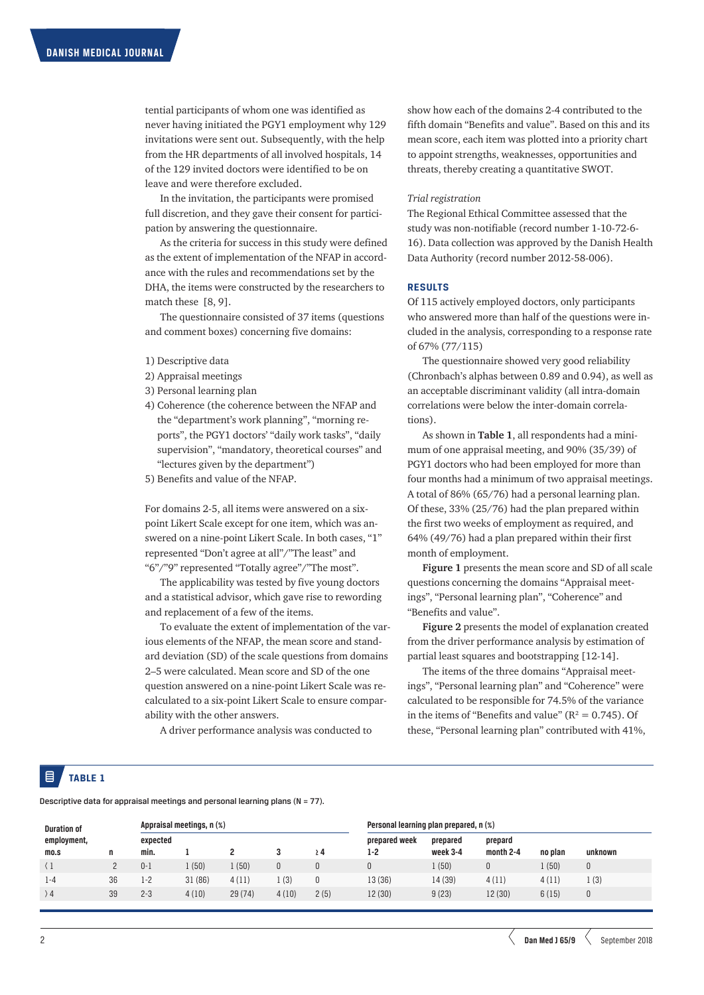tential participants of whom one was identified as never having initiated the PGY1 employment why 129 invitations were sent out. Subsequently, with the help from the HR departments of all involved hospitals, 14 of the 129 invited doctors were identified to be on leave and were therefore excluded.

In the invitation, the participants were promised full discretion, and they gave their consent for participation by answering the questionnaire.

As the criteria for success in this study were defined as the extent of implementation of the NFAP in accordance with the rules and recommendations set by the DHA, the items were constructed by the researchers to match these [8, 9].

The questionnaire consisted of 37 items (questions and comment boxes) concerning five domains:

- 1) Descriptive data
- 2) Appraisal meetings
- 3) Personal learning plan
- 4) Coherence (the coherence between the NFAP and the "department's work planning", "morning reports", the PGY1 doctors' "daily work tasks", "daily supervision", "mandatory, theoretical courses" and "lectures given by the department")
- 5) Benefits and value of the NFAP.

For domains 2-5, all items were answered on a sixpoint Likert Scale except for one item, which was answered on a nine-point Likert Scale. In both cases, "1" represented "Don't agree at all"/"The least" and "6"/"9" represented "Totally agree"/"The most".

The applicability was tested by five young doctors and a statistical advisor, which gave rise to rewording and replacement of a few of the items.

To evaluate the extent of implementation of the various elements of the NFAP, the mean score and standard deviation (SD) of the scale questions from domains 2–5 were calculated. Mean score and SD of the one question answered on a nine-point Likert Scale was recalculated to a six-point Likert Scale to ensure comparability with the other answers.

A driver performance analysis was conducted to

show how each of the domains 2-4 contributed to the fifth domain "Benefits and value". Based on this and its mean score, each item was plotted into a priority chart to appoint strengths, weaknesses, opportunities and threats, thereby creating a quantitative SWOT.

# *Trial registration*

The Regional Ethical Committee assessed that the study was non-notifiable (record number 1-10-72-6- 16). Data collection was approved by the Danish Health Data Authority (record number 2012-58-006).

# **RESULTS**

Of 115 actively employed doctors, only participants who answered more than half of the questions were included in the analysis, corresponding to a response rate of 67% (77/115)

The questionnaire showed very good reliability (Chronbach's alphas between 0.89 and 0.94), as well as an acceptable discriminant validity (all intra-domain correlations were below the inter-domain correlations).

As shown in **Table 1**, all respondents had a minimum of one appraisal meeting, and 90% (35/39) of PGY1 doctors who had been employed for more than four months had a minimum of two appraisal meetings. A total of 86% (65/76) had a personal learning plan. Of these, 33% (25/76) had the plan prepared within the first two weeks of employment as required, and 64% (49/76) had a plan prepared within their first month of employment.

**Figure 1** presents the mean score and SD of all scale questions concerning the domains "Appraisal meetings", "Personal learning plan", "Coherence" and "Benefits and value".

**Figure 2** presents the model of explanation created from the driver performance analysis by estimation of partial least squares and bootstrapping [12-14].

The items of the three domains "Appraisal meetings", "Personal learning plan" and "Coherence" were calculated to be responsible for 74.5% of the variance in the items of "Benefits and value" ( $R^2 = 0.745$ ). Of these, "Personal learning plan" contributed with 41%,

# **TABLE 1**

Descriptive data for appraisal meetings and personal learning plans (N = 77).

| <b>Duration of</b>  | n  | Appraisal meetings, n (%) |        |        |       |          | Personal learning plan prepared, n (%) |                      |                      |         |              |
|---------------------|----|---------------------------|--------|--------|-------|----------|----------------------------------------|----------------------|----------------------|---------|--------------|
| employment,<br>mo.s |    | expected<br>min.          |        |        |       | $\geq 4$ | prepared week<br>1-2                   | prepared<br>week 3-4 | prepard<br>month 2-4 | no plan | unknown      |
|                     |    | $0 - 1$                   | l (50) | (50)   | 0     |          | 0                                      | (50)                 |                      | 1(50)   | 0            |
| $1 - 4$             | 36 | $1 - 2$                   | 31(86) | 4(11)  | (3)   |          | 13 (36)                                | 14 (39)              | 4(11)                | 4(11)   | . (3)        |
| $\rightarrow$ 4     | 39 | $2 - 3$                   | 4(10)  | 29(74) | 4(10) | 2(5)     | 12 (30)                                | 9(23)                | 12 (30)              | 6(15)   | $\mathbf{0}$ |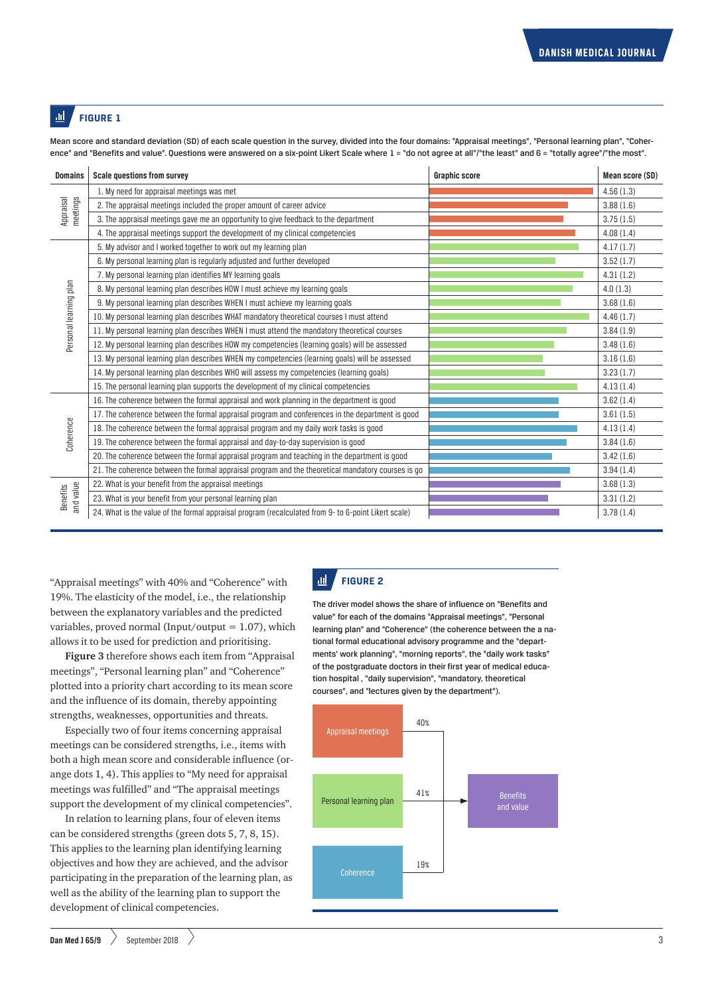#### ad. **FIGURE 1**

Mean score and standard deviation (SD) of each scale question in the survey, divided into the four domains: "Appraisal meetings", "Personal learning plan", "Coherence" and "Benefits and value". Questions were answered on a six-point Likert Scale where 1 = "do not agree at all"/"the least" and 6 = "totally agree"/"the most".

| <b>Domains</b>               | <b>Scale questions from survey</b>                                                                   | <b>Graphic score</b> | Mean score (SD) |
|------------------------------|------------------------------------------------------------------------------------------------------|----------------------|-----------------|
| meetings<br>Appraisal        | 1. My need for appraisal meetings was met                                                            |                      | 4.56(1.3)       |
|                              | 2. The appraisal meetings included the proper amount of career advice                                |                      | 3.88(1.6)       |
|                              | 3. The appraisal meetings gave me an opportunity to give feedback to the department                  |                      | 3.75(1.5)       |
|                              | 4. The appraisal meetings support the development of my clinical competencies                        |                      | 4.08(1.4)       |
| Personal learning plan       | 5. My advisor and I worked together to work out my learning plan                                     |                      | 4.17(1.7)       |
|                              | 6. My personal learning plan is regularly adjusted and further developed                             |                      | 3.52(1.7)       |
|                              | 7. My personal learning plan identifies MY learning goals                                            |                      | 4.31(1.2)       |
|                              | 8. My personal learning plan describes HOW I must achieve my learning goals                          |                      | 4.0(1.3)        |
|                              | 9. My personal learning plan describes WHEN I must achieve my learning goals                         |                      | 3.68(1.6)       |
|                              | 10. My personal learning plan describes WHAT mandatory theoretical courses I must attend             |                      | 4.46(1.7)       |
|                              | 11. My personal learning plan describes WHEN I must attend the mandatory theoretical courses         |                      | 3.84(1.9)       |
|                              | 12. My personal learning plan describes HOW my competencies (learning goals) will be assessed        |                      | 3.48(1.6)       |
|                              | 13. My personal learning plan describes WHEN my competencies (learning goals) will be assessed       |                      | 3.16(1.6)       |
|                              | 14. My personal learning plan describes WHO will assess my competencies (learning goals)             |                      | 3.23(1.7)       |
|                              | 15. The personal learning plan supports the development of my clinical competencies                  |                      | 4.13(1.4)       |
| Coherence                    | 16. The coherence between the formal appraisal and work planning in the department is good           |                      | 3.62(1.4)       |
|                              | 17. The coherence between the formal appraisal program and conferences in the department is good     |                      | 3.61(1.5)       |
|                              | 18. The coherence between the formal appraisal program and my daily work tasks is good               |                      | 4.13(1.4)       |
|                              | 19. The coherence between the formal appraisal and day-to-day supervision is good                    |                      | 3.84(1.6)       |
|                              | 20. The coherence between the formal appraisal program and teaching in the department is good        |                      | 3.42(1.6)       |
|                              | 21. The coherence between the formal appraisal program and the theoretical mandatory courses is go   |                      | 3.94(1.4)       |
| and value<br><b>Benefits</b> | 22. What is your benefit from the appraisal meetings                                                 |                      | 3.68(1.3)       |
|                              | 23. What is your benefit from your personal learning plan                                            |                      | 3.31(1.2)       |
|                              | 24. What is the value of the formal appraisal program (recalculated from 9- to 6-point Likert scale) |                      | 3.78(1.4)       |

"Appraisal meetings" with 40% and "Coherence" with 19%. The elasticity of the model, i.e., the relationship between the explanatory variables and the predicted variables, proved normal (Input/output  $= 1.07$ ), which allows it to be used for prediction and prioritising.

**Figure 3** therefore shows each item from "Appraisal meetings", "Personal learning plan" and "Coherence" plotted into a priority chart according to its mean score and the influence of its domain, thereby appointing strengths, weaknesses, opportunities and threats.

Especially two of four items concerning appraisal meetings can be considered strengths, i.e., items with both a high mean score and considerable influence (orange dots 1, 4). This applies to "My need for appraisal meetings was fulfilled" and "The appraisal meetings support the development of my clinical competencies".

In relation to learning plans, four of eleven items can be considered strengths (green dots 5, 7, 8, 15). This applies to the learning plan identifying learning objectives and how they are achieved, and the advisor participating in the preparation of the learning plan, as well as the ability of the learning plan to support the development of clinical competencies.

#### $\mathbf{d}$ **FIGURE 2**

The driver model shows the share of influence on "Benefits and value" for each of the domains "Appraisal meetings", "Personal learning plan" and "Coherence" (the coherence between the a national formal educational advisory programme and the "departments' work planning", "morning reports", the "daily work tasks" of the postgraduate doctors in their first year of medical education hospital , "daily supervision", "mandatory, theoretical courses", and "lectures given by the department").

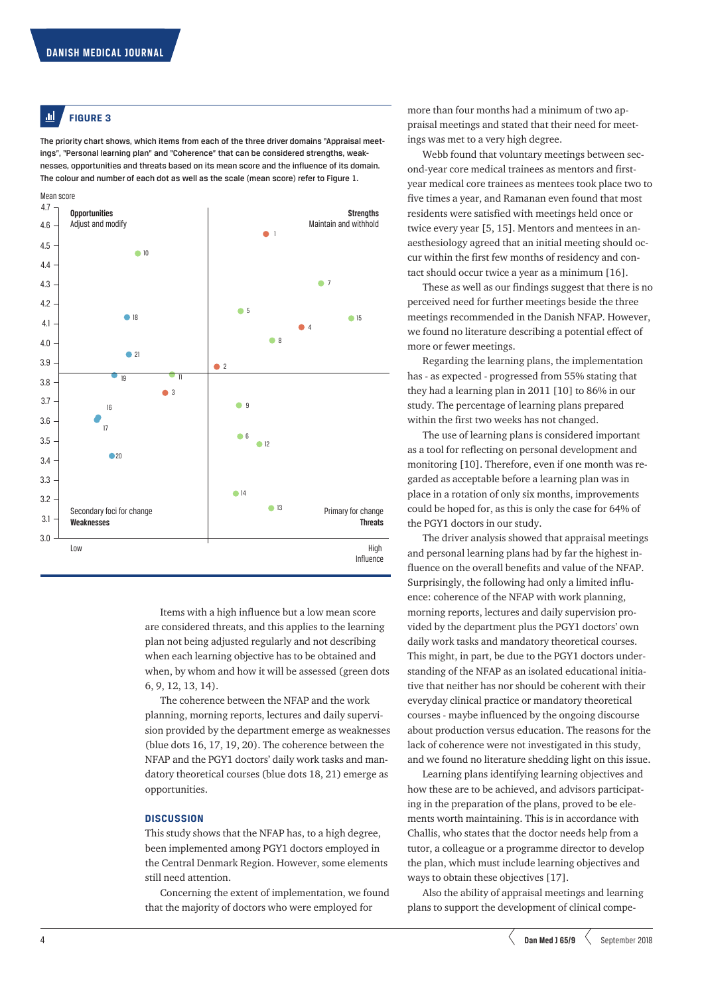#### **FIGURE 3** all.

The priority chart shows, which items from each of the three driver domains "Appraisal meetings", "Personal learning plan" and "Coherence" that can be considered strengths, weaknesses, opportunities and threats based on its mean score and the influence of its domain. The colour and number of each dot as well as the scale (mean score) refer to Figure 1.



Items with a high influence but a low mean score are considered threats, and this applies to the learning plan not being adjusted regularly and not describing when each learning objective has to be obtained and when, by whom and how it will be assessed (green dots 6, 9, 12, 13, 14).

The coherence between the NFAP and the work planning, morning reports, lectures and daily supervision provided by the department emerge as weaknesses (blue dots 16, 17, 19, 20). The coherence between the NFAP and the PGY1 doctors' daily work tasks and mandatory theoretical courses (blue dots 18, 21) emerge as opportunities.

# **DISCUSSION**

This study shows that the NFAP has, to a high degree, been implemented among PGY1 doctors employed in the Central Denmark Region. However, some elements still need attention.

Concerning the extent of implementation, we found that the majority of doctors who were employed for

more than four months had a minimum of two appraisal meetings and stated that their need for meetings was met to a very high degree.

Webb found that voluntary meetings between second-year core medical trainees as mentors and firstyear medical core trainees as mentees took place two to five times a year, and Ramanan even found that most residents were satisfied with meetings held once or twice every year [5, 15]. Mentors and mentees in anaesthesiology agreed that an initial meeting should occur within the first few months of residency and contact should occur twice a year as a minimum [16].

These as well as our findings suggest that there is no perceived need for further meetings beside the three meetings recommended in the Danish NFAP. However, we found no literature describing a potential effect of more or fewer meetings.

Regarding the learning plans, the implementation has - as expected - progressed from 55% stating that they had a learning plan in 2011 [10] to 86% in our study. The percentage of learning plans prepared within the first two weeks has not changed.

The use of learning plans is considered important as a tool for reflecting on personal development and monitoring [10]. Therefore, even if one month was regarded as acceptable before a learning plan was in place in a rotation of only six months, improvements could be hoped for, as this is only the case for 64% of the PGY1 doctors in our study.

The driver analysis showed that appraisal meetings and personal learning plans had by far the highest influence on the overall benefits and value of the NFAP. Surprisingly, the following had only a limited influence: coherence of the NFAP with work planning, morning reports, lectures and daily supervision provided by the department plus the PGY1 doctors' own daily work tasks and mandatory theoretical courses. This might, in part, be due to the PGY1 doctors understanding of the NFAP as an isolated educational initiative that neither has nor should be coherent with their everyday clinical practice or mandatory theoretical courses - maybe influenced by the ongoing discourse about production versus education. The reasons for the lack of coherence were not investigated in this study, and we found no literature shedding light on this issue.

Learning plans identifying learning objectives and how these are to be achieved, and advisors participating in the preparation of the plans, proved to be elements worth maintaining. This is in accordance with Challis, who states that the doctor needs help from a tutor, a colleague or a programme director to develop the plan, which must include learning objectives and ways to obtain these objectives [17].

Also the ability of appraisal meetings and learning plans to support the development of clinical compe